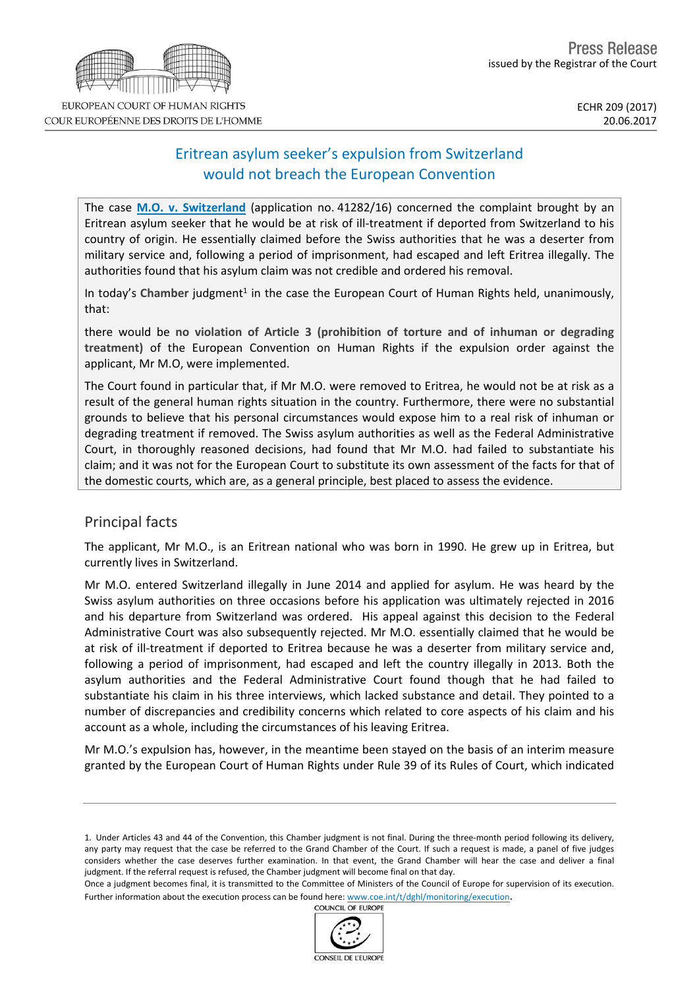# Eritrean asylum seeker's expulsion from Switzerland would not breach the European Convention

The case **M.O. v. [Switzerland](http://hudoc.echr.coe.int/eng?i=001-174424)** (application no. 41282/16) concerned the complaint brought by an Eritrean asylum seeker that he would be at risk of ill-treatment if deported from Switzerland to his country of origin. He essentially claimed before the Swiss authorities that he was a deserter from military service and, following a period of imprisonment, had escaped and left Eritrea illegally. The authorities found that his asylum claim was not credible and ordered his removal.

In today's Chamber judgment<sup>1</sup> in the case the European Court of Human Rights held, unanimously, that:

there would be **no violation of Article 3 (prohibition of torture and of inhuman or degrading treatment)** of the European Convention on Human Rights if the expulsion order against the applicant, Mr M.O, were implemented.

The Court found in particular that, if Mr M.O. were removed to Eritrea, he would not be at risk as a result of the general human rights situation in the country. Furthermore, there were no substantial grounds to believe that his personal circumstances would expose him to a real risk of inhuman or degrading treatment if removed. The Swiss asylum authorities as well as the Federal Administrative Court, in thoroughly reasoned decisions, had found that Mr M.O. had failed to substantiate his claim; and it was not for the European Court to substitute its own assessment of the facts for that of the domestic courts, which are, as a general principle, best placed to assess the evidence.

# Principal facts

The applicant, Mr M.O., is an Eritrean national who was born in 1990. He grew up in Eritrea, but currently lives in Switzerland.

Mr M.O. entered Switzerland illegally in June 2014 and applied for asylum. He was heard by the Swiss asylum authorities on three occasions before his application was ultimately rejected in 2016 and his departure from Switzerland was ordered. His appeal against this decision to the Federal Administrative Court was also subsequently rejected. Mr M.O. essentially claimed that he would be at risk of ill-treatment if deported to Eritrea because he was a deserter from military service and, following a period of imprisonment, had escaped and left the country illegally in 2013. Both the asylum authorities and the Federal Administrative Court found though that he had failed to substantiate his claim in his three interviews, which lacked substance and detail. They pointed to a number of discrepancies and credibility concerns which related to core aspects of his claim and his account as a whole, including the circumstances of his leaving Eritrea.

Mr M.O.'s expulsion has, however, in the meantime been stayed on the basis of an interim measure granted by the European Court of Human Rights under Rule 39 of its Rules of Court, which indicated

1. Under Articles 43 and 44 of the Convention, this Chamber judgment is not final. During the three-month period following its delivery, any party may request that the case be referred to the Grand Chamber of the Court. If such a request is made, a panel of five judges considers whether the case deserves further examination. In that event, the Grand Chamber will hear the case and deliver a final judgment. If the referral request is refused, the Chamber judgment will become final on that day.

Once a judgment becomes final, it is transmitted to the Committee of Ministers of the Council of Europe for supervision of its execution. Further information about the execution process can be found here: [www.coe.int/t/dghl/monitoring/execution](http://www.coe.int/t/dghl/monitoring/execution).<br>COUNCIL OF EUROPE



COUR EUROPÉENNE DES DROITS DE L'HOMME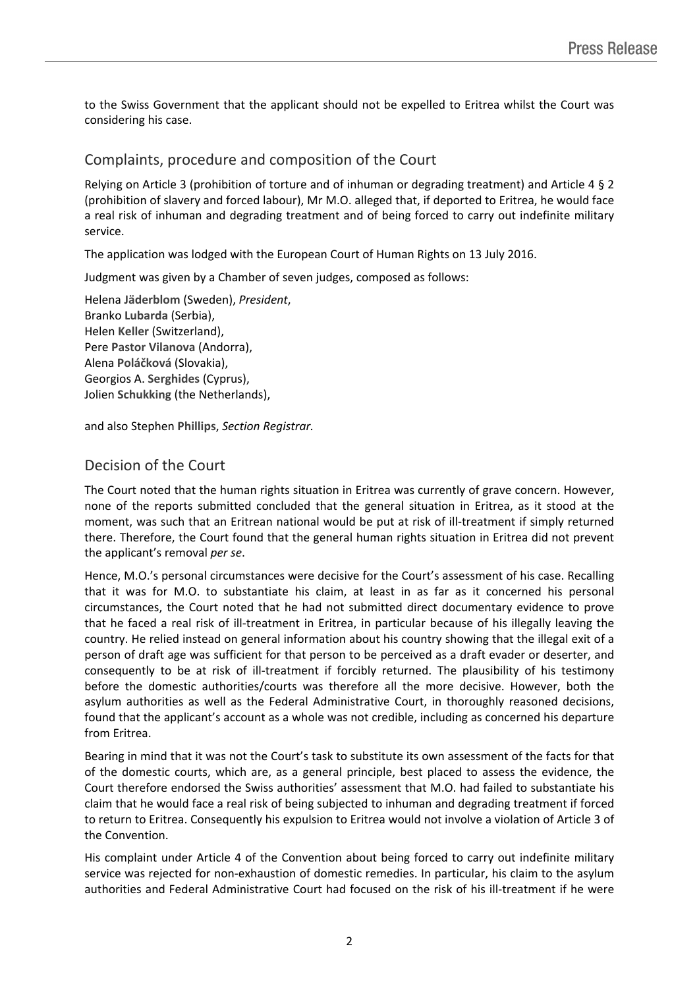to the Swiss Government that the applicant should not be expelled to Eritrea whilst the Court was considering his case.

### Complaints, procedure and composition of the Court

Relying on Article 3 (prohibition of torture and of inhuman or degrading treatment) and Article 4 § 2 (prohibition of slavery and forced labour), Mr M.O. alleged that, if deported to Eritrea, he would face a real risk of inhuman and degrading treatment and of being forced to carry out indefinite military service.

The application was lodged with the European Court of Human Rights on 13 July 2016.

Judgment was given by a Chamber of seven judges, composed as follows:

Helena **Jäderblom** (Sweden), *President*, Branko **Lubarda** (Serbia), Helen **Keller** (Switzerland), Pere **Pastor Vilanova** (Andorra), Alena **Poláčková** (Slovakia), Georgios A. **Serghides** (Cyprus), Jolien **Schukking** (the Netherlands),

and also Stephen **Phillips**, *Section Registrar.*

# Decision of the Court

The Court noted that the human rights situation in Eritrea was currently of grave concern. However, none of the reports submitted concluded that the general situation in Eritrea, as it stood at the moment, was such that an Eritrean national would be put at risk of ill-treatment if simply returned there. Therefore, the Court found that the general human rights situation in Eritrea did not prevent the applicant's removal *per se*.

Hence, M.O.'s personal circumstances were decisive for the Court's assessment of his case. Recalling that it was for M.O. to substantiate his claim, at least in as far as it concerned his personal circumstances, the Court noted that he had not submitted direct documentary evidence to prove that he faced a real risk of ill-treatment in Eritrea, in particular because of his illegally leaving the country. He relied instead on general information about his country showing that the illegal exit of a person of draft age was sufficient for that person to be perceived as a draft evader or deserter, and consequently to be at risk of ill-treatment if forcibly returned. The plausibility of his testimony before the domestic authorities/courts was therefore all the more decisive. However, both the asylum authorities as well as the Federal Administrative Court, in thoroughly reasoned decisions, found that the applicant's account as a whole was not credible, including as concerned his departure from Eritrea.

Bearing in mind that it was not the Court's task to substitute its own assessment of the facts for that of the domestic courts, which are, as a general principle, best placed to assess the evidence, the Court therefore endorsed the Swiss authorities' assessment that M.O. had failed to substantiate his claim that he would face a real risk of being subjected to inhuman and degrading treatment if forced to return to Eritrea. Consequently his expulsion to Eritrea would not involve a violation of Article 3 of the Convention.

His complaint under Article 4 of the Convention about being forced to carry out indefinite military service was rejected for non-exhaustion of domestic remedies. In particular, his claim to the asylum authorities and Federal Administrative Court had focused on the risk of his ill-treatment if he were